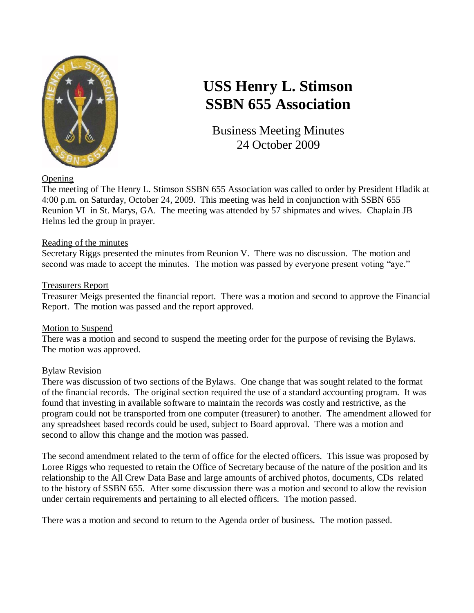

# **USS Henry L. Stimson SSBN 655 Association**

Business Meeting Minutes 24 October 2009

**Opening** 

The meeting of The Henry L. Stimson SSBN 655 Association was called to order by President Hladik at 4:00 p.m. on Saturday, October 24, 2009. This meeting was held in conjunction with SSBN 655 Reunion VI in St. Marys, GA. The meeting was attended by 57 shipmates and wives. Chaplain JB Helms led the group in prayer.

## Reading of the minutes

Secretary Riggs presented the minutes from Reunion V. There was no discussion. The motion and second was made to accept the minutes. The motion was passed by everyone present voting "aye."

## Treasurers Report

Treasurer Meigs presented the financial report. There was a motion and second to approve the Financial Report. The motion was passed and the report approved.

## Motion to Suspend

There was a motion and second to suspend the meeting order for the purpose of revising the Bylaws. The motion was approved.

## Bylaw Revision

There was discussion of two sections of the Bylaws. One change that was sought related to the format of the financial records. The original section required the use of a standard accounting program. It was found that investing in available software to maintain the records was costly and restrictive, as the program could not be transported from one computer (treasurer) to another. The amendment allowed for any spreadsheet based records could be used, subject to Board approval. There was a motion and second to allow this change and the motion was passed.

The second amendment related to the term of office for the elected officers. This issue was proposed by Loree Riggs who requested to retain the Office of Secretary because of the nature of the position and its relationship to the All Crew Data Base and large amounts of archived photos, documents, CDs related to the history of SSBN 655. After some discussion there was a motion and second to allow the revision under certain requirements and pertaining to all elected officers. The motion passed.

There was a motion and second to return to the Agenda order of business. The motion passed.